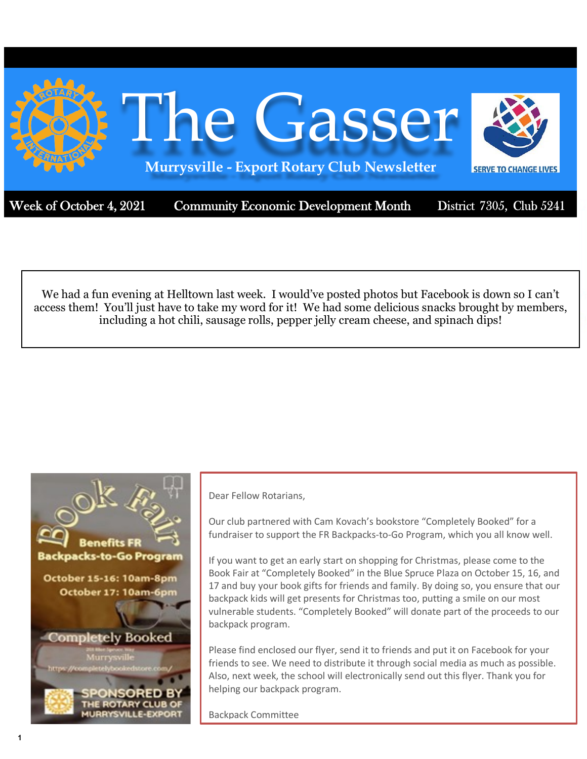

Week of October 4, 2021 Community Economic Development Month

District 7305, Club 5241

We had a fun evening at Helltown last week. I would've posted photos but Facebook is down so I can't access them! You'll just have to take my word for it! We had some delicious snacks brought by members, including a hot chili, sausage rolls, pepper jelly cream cheese, and spinach dips!



Dear Fellow Rotarians,

Our club partnered with Cam Kovach's bookstore "Completely Booked" for a fundraiser to support the FR Backpacks-to-Go Program, which you all know well.

If you want to get an early start on shopping for Christmas, please come to the Book Fair at "Completely Booked" in the Blue Spruce Plaza on October 15, 16, and 17 and buy your book gifts for friends and family. By doing so, you ensure that our backpack kids will get presents for Christmas too, putting a smile on our most vulnerable students. "Completely Booked" will donate part of the proceeds to our backpack program.

Please find enclosed our flyer, send it to friends and put it on Facebook for your friends to see. We need to distribute it through social media as much as possible. Also, next week, the school will electronically send out this flyer. Thank you for helping our backpack program.

Backpack Committee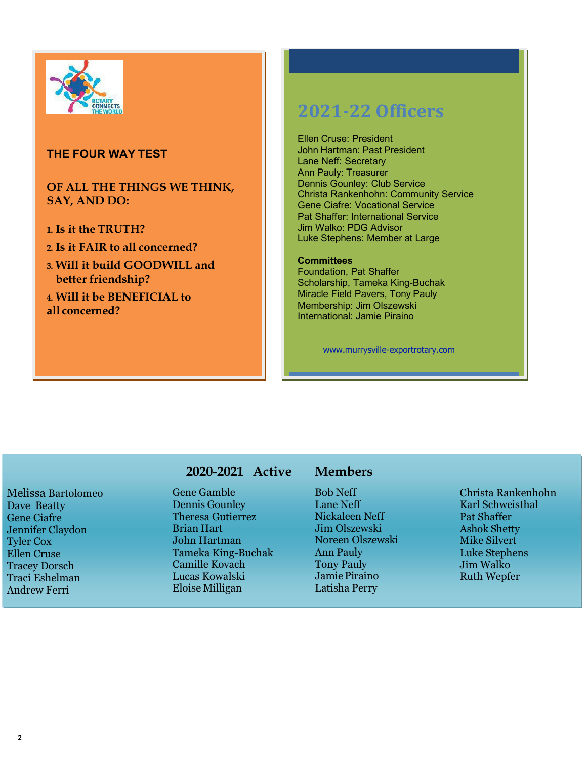

## **THE FOUR WAY TEST**

### **OF ALL THE THINGS WE THINK, SAY, AND DO:**

- **1. Is it the TRUTH?**
- **2. Is it FAIR to all concerned?**
- **3. Will it build GOODWILL and better friendship?**

**4. Will it be BENEFICIAL to all concerned?**

# **2021-22 Officers**

Ellen Cruse: President John Hartman: Past President Lane Neff: Secretary Ann Pauly: Treasurer Dennis Gounley: Club Service Christa Rankenhohn: Community Service Gene Ciafre: Vocational Service Pat Shaffer: International Service Jim Walko: PDG Advisor Luke Stephens: Member at Large

#### **Committees**

Foundation, Pat Shaffer Scholarship, Tameka King-Buchak Miracle Field Pavers, Tony Pauly Membership: Jim Olszewski International: Jamie Piraino

[www.murrysville-exportrotary.com](http://www.murrysville-exportrotary.com/)

Melissa Bartolomeo Dave Beatty Gene Ciafre Jennifer Claydon Tyler Cox Ellen Cruse Tracey Dorsch Traci Eshelman Andrew Ferri

# **2020-2021 Active**

Gene Gamble Dennis Gounley Theresa Gutierrez Brian Hart John Hartman Tameka King-Buchak Camille Kovach Lucas Kowalski Eloise Milligan

# **Members**

Bob Neff Lane Neff Nickaleen Neff Jim Olszewski Noreen Olszewski Ann Pauly Tony Pauly Jamie Piraino Latisha Perry

Christa Rankenhohn Karl Schweisthal Pat Shaffer Ashok Shetty Mike Silvert Luke Stephens Jim Walko Ruth Wepfer